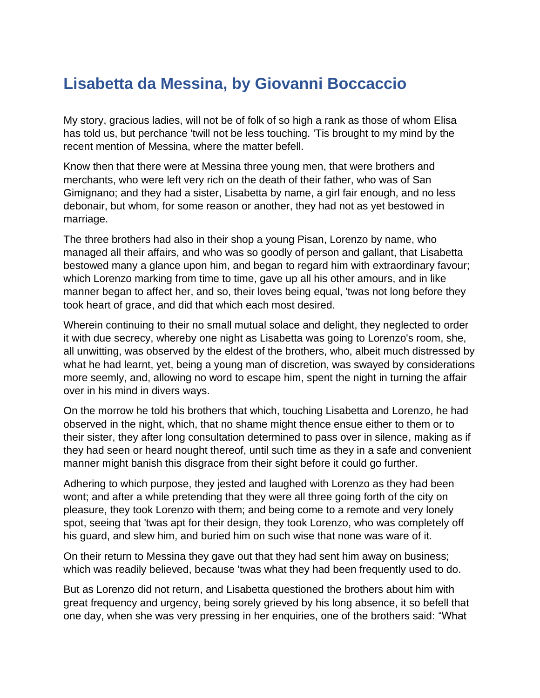## **Lisabetta da Messina, by Giovanni Boccaccio**

My story, gracious ladies, will not be of folk of so high a rank as those of whom Elisa has told us, but perchance 'twill not be less touching. 'Tis brought to my mind by the recent mention of Messina, where the matter befell.

Know then that there were at Messina three young men, that were brothers and merchants, who were left very rich on the death of their father, who was of San Gimignano; and they had a sister, Lisabetta by name, a girl fair enough, and no less debonair, but whom, for some reason or another, they had not as yet bestowed in marriage.

The three brothers had also in their shop a young Pisan, Lorenzo by name, who managed all their affairs, and who was so goodly of person and gallant, that Lisabetta bestowed many a glance upon him, and began to regard him with extraordinary favour; which Lorenzo marking from time to time, gave up all his other amours, and in like manner began to affect her, and so, their loves being equal, 'twas not long before they took heart of grace, and did that which each most desired.

Wherein continuing to their no small mutual solace and delight, they neglected to order it with due secrecy, whereby one night as Lisabetta was going to Lorenzo's room, she, all unwitting, was observed by the eldest of the brothers, who, albeit much distressed by what he had learnt, yet, being a young man of discretion, was swayed by considerations more seemly, and, allowing no word to escape him, spent the night in turning the affair over in his mind in divers ways.

On the morrow he told his brothers that which, touching Lisabetta and Lorenzo, he had observed in the night, which, that no shame might thence ensue either to them or to their sister, they after long consultation determined to pass over in silence, making as if they had seen or heard nought thereof, until such time as they in a safe and convenient manner might banish this disgrace from their sight before it could go further.

Adhering to which purpose, they jested and laughed with Lorenzo as they had been wont; and after a while pretending that they were all three going forth of the city on pleasure, they took Lorenzo with them; and being come to a remote and very lonely spot, seeing that 'twas apt for their design, they took Lorenzo, who was completely off his guard, and slew him, and buried him on such wise that none was ware of it.

On their return to Messina they gave out that they had sent him away on business; which was readily believed, because 'twas what they had been frequently used to do.

But as Lorenzo did not return, and Lisabetta questioned the brothers about him with great frequency and urgency, being sorely grieved by his long absence, it so befell that one day, when she was very pressing in her enquiries, one of the brothers said: "What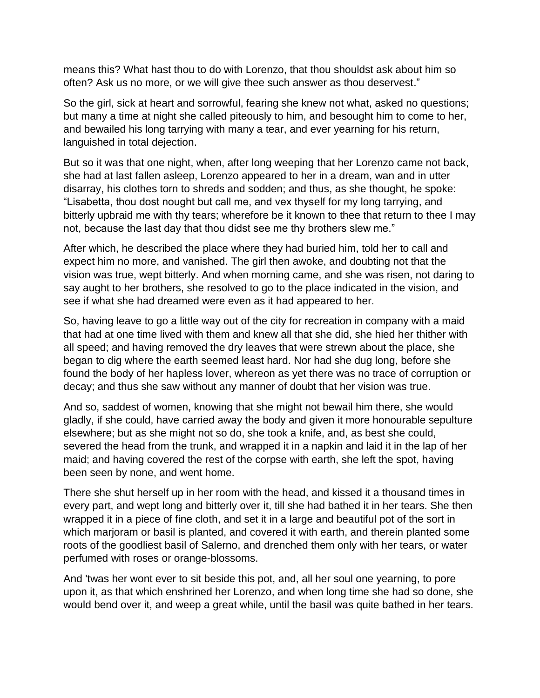means this? What hast thou to do with Lorenzo, that thou shouldst ask about him so often? Ask us no more, or we will give thee such answer as thou deservest."

So the girl, sick at heart and sorrowful, fearing she knew not what, asked no questions; but many a time at night she called piteously to him, and besought him to come to her, and bewailed his long tarrying with many a tear, and ever yearning for his return, languished in total dejection.

But so it was that one night, when, after long weeping that her Lorenzo came not back, she had at last fallen asleep, Lorenzo appeared to her in a dream, wan and in utter disarray, his clothes torn to shreds and sodden; and thus, as she thought, he spoke: "Lisabetta, thou dost nought but call me, and vex thyself for my long tarrying, and bitterly upbraid me with thy tears; wherefore be it known to thee that return to thee I may not, because the last day that thou didst see me thy brothers slew me."

After which, he described the place where they had buried him, told her to call and expect him no more, and vanished. The girl then awoke, and doubting not that the vision was true, wept bitterly. And when morning came, and she was risen, not daring to say aught to her brothers, she resolved to go to the place indicated in the vision, and see if what she had dreamed were even as it had appeared to her.

So, having leave to go a little way out of the city for recreation in company with a maid that had at one time lived with them and knew all that she did, she hied her thither with all speed; and having removed the dry leaves that were strewn about the place, she began to dig where the earth seemed least hard. Nor had she dug long, before she found the body of her hapless lover, whereon as yet there was no trace of corruption or decay; and thus she saw without any manner of doubt that her vision was true.

And so, saddest of women, knowing that she might not bewail him there, she would gladly, if she could, have carried away the body and given it more honourable sepulture elsewhere; but as she might not so do, she took a knife, and, as best she could, severed the head from the trunk, and wrapped it in a napkin and laid it in the lap of her maid; and having covered the rest of the corpse with earth, she left the spot, having been seen by none, and went home.

There she shut herself up in her room with the head, and kissed it a thousand times in every part, and wept long and bitterly over it, till she had bathed it in her tears. She then wrapped it in a piece of fine cloth, and set it in a large and beautiful pot of the sort in which marjoram or basil is planted, and covered it with earth, and therein planted some roots of the goodliest basil of Salerno, and drenched them only with her tears, or water perfumed with roses or orange-blossoms.

And 'twas her wont ever to sit beside this pot, and, all her soul one yearning, to pore upon it, as that which enshrined her Lorenzo, and when long time she had so done, she would bend over it, and weep a great while, until the basil was quite bathed in her tears.